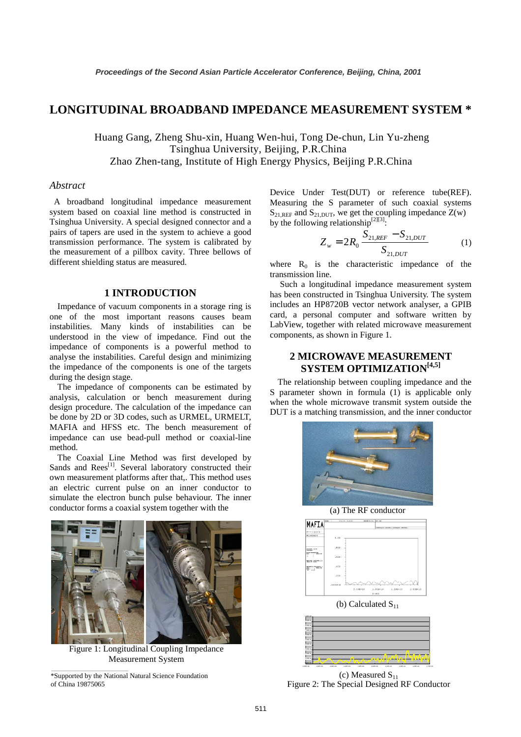# **LONGITUDINAL BROADBAND IMPEDANCE MEASUREMENT SYSTEM \***

Huang Gang, Zheng Shu-xin, Huang Wen-hui, Tong De-chun, Lin Yu-zheng Tsinghua University, Beijing, P.R.China Zhao Zhen-tang, Institute of High Energy Physics, Beijing P.R.China

## *Abstract*

 A broadband longitudinal impedance measurement system based on coaxial line method is constructed in Tsinghua University. A special designed connector and a pairs of tapers are used in the system to achieve a good transmission performance. The system is calibrated by the measurement of a pillbox cavity. Three bellows of different shielding status are measured.

## **1 INTRODUCTION**

Impedance of vacuum components in a storage ring is one of the most important reasons causes beam instabilities. Many kinds of instabilities can be understood in the view of impedance. Find out the impedance of components is a powerful method to analyse the instabilities. Careful design and minimizing the impedance of the components is one of the targets during the design stage.

The impedance of components can be estimated by analysis, calculation or bench measurement during design procedure. The calculation of the impedance can be done by 2D or 3D codes, such as URMEL, URMELT, MAFIA and HFSS etc. The bench measurement of impedance can use bead-pull method or coaxial-line method.

The Coaxial Line Method was first developed by Sands and Rees<sup>[1]</sup>. Several laboratory constructed their own measurement platforms after that,. This method uses an electric current pulse on an inner conductor to simulate the electron bunch pulse behaviour. The inner conductor forms a coaxial system together with the



Figure 1: Longitudinal Coupling Impedance Measurement System



Device Under Test(DUT) or reference tube(REF). Measuring the S parameter of such coaxial systems  $S_{21,REF}$  and  $S_{21,DUT}$ , we get the coupling impedance  $Z(w)$ by the following relationship<sup>[2][3]</sup>:

$$
Z_w = 2R_0 \frac{S_{21,REF} - S_{21,DUT}}{S_{21,DUT}} \tag{1}
$$

where  $R_0$  is the characteristic impedance of the transmission line.

 Such a longitudinal impedance measurement system has been constructed in Tsinghua University. The system includes an HP8720B vector network analyser, a GPIB card, a personal computer and software written by LabView, together with related microwave measurement components, as shown in Figure 1.

# **2 MICROWAVE MEASUREMENT SYSTEM OPTIMIZATION**<sup>[4,5]</sup>

The relationship between coupling impedance and the S parameter shown in formula (1) is applicable only when the whole microwave transmit system outside the DUT is a matching transmission, and the inner conductor



(a) The RF conductor



(b) Calculated  $S_{11}$ 



(c) Measured  $S_{11}$ Figure 2: The Special Designed RF Conductor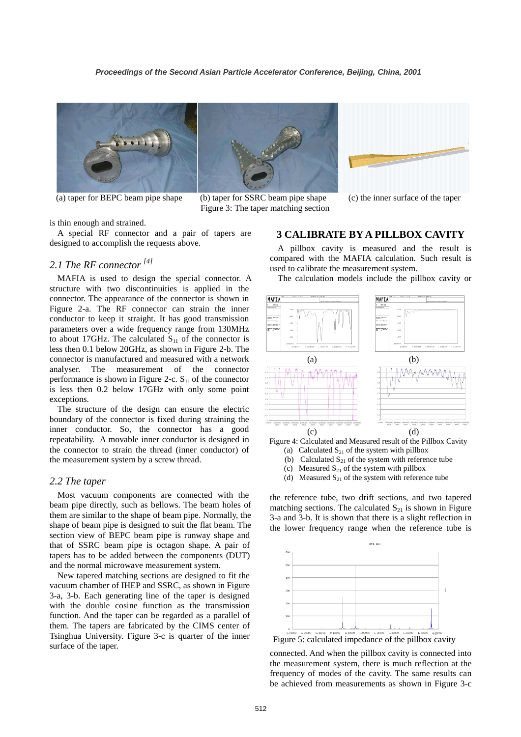



(a) taper for BEPC beam pipe shape (b) taper for SSRC beam pipe shape (c) the inner surface of the taper Figure 3: The taper matching section



is thin enough and strained.

A special RF connector and a pair of tapers are designed to accomplish the requests above.

# *2.1 The RF connector [4]*

MAFIA is used to design the special connector. A structure with two discontinuities is applied in the connector. The appearance of the connector is shown in Figure 2-a. The RF connector can strain the inner conductor to keep it straight. It has good transmission parameters over a wide frequency range from 130MHz to about 17GHz. The calculated  $S_{11}$  of the connector is less then 0.1 below 20GHz, as shown in Figure 2-b. The connector is manufactured and measured with a network analyser. The measurement of the connector performance is shown in Figure 2-c.  $S_{11}$  of the connector is less then 0.2 below 17GHz with only some point exceptions.

The structure of the design can ensure the electric boundary of the connector is fixed during straining the inner conductor. So, the connector has a good repeatability. A movable inner conductor is designed in the connector to strain the thread (inner conductor) of the measurement system by a screw thread.

#### *2.2 The taper*

Most vacuum components are connected with the beam pipe directly, such as bellows. The beam holes of them are similar to the shape of beam pipe. Normally, the shape of beam pipe is designed to suit the flat beam. The section view of BEPC beam pipe is runway shape and that of SSRC beam pipe is octagon shape. A pair of tapers has to be added between the components (DUT) and the normal microwave measurement system.

New tapered matching sections are designed to fit the vacuum chamber of IHEP and SSRC, as shown in Figure 3-a, 3-b. Each generating line of the taper is designed with the double cosine function as the transmission function. And the taper can be regarded as a parallel of them. The tapers are fabricated by the CIMS center of Tsinghua University. Figure 3-c is quarter of the inner surface of the taper.

#### **3 CALIBRATE BY A PILLBOX CAVITY**

A pillbox cavity is measured and the result is compared with the MAFIA calculation. Such result is used to calibrate the measurement system.

The calculation models include the pillbox cavity or



Figure 4: Calculated and Measured result of the Pillbox Cavity

- (a) Calculated  $S_{21}$  of the system with pillbox
- (b) Calculated  $S_{21}$  of the system with reference tube
- (c) Measured  $S_{21}$  of the system with pillbox
- (d) Measured  $S_{21}$  of the system with reference tube

the reference tube, two drift sections, and two tapered matching sections. The calculated  $S_{21}$  is shown in Figure 3-a and 3-b. It is shown that there is a slight reflection in the lower frequency range when the reference tube is



Figure 5: calculated impedance of the pillbox cavity

connected. And when the pillbox cavity is connected into the measurement system, there is much reflection at the frequency of modes of the cavity. The same results can be achieved from measurements as shown in Figure 3-c